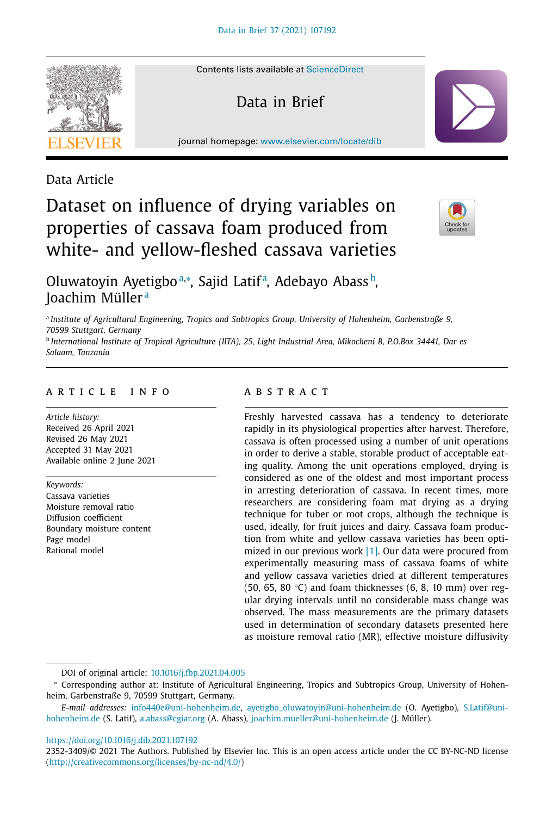## Data Article

#### Contents lists available at [ScienceDirect](http://www.ScienceDirect.com)

Data in Brief

journal homepage: [www.elsevier.com/locate/dib](http://www.elsevier.com/locate/dib)



# properties of cassava foam produced from white- and yellow-fleshed cassava varieties

Dataset on influence of drying variables on

Oluwatoyin Ayetigboª,\*, Sajid Latifª, Adebayo Abass<sup>b</sup>, Joachim Müller <sup>a</sup>

<sup>a</sup> *Institute of Agricultural Engineering, Tropics and Subtropics Group, University of Hohenheim, Garbenstraße 9, 70599 Stuttgart, Germany*

<sup>b</sup> International Institute of Tropical Agriculture (IITA), 25, Light Industrial Area, Mikocheni B, P.O.Box 34441, Dar es *Salaam, Tanzania*

## a r t i c l e i n f o

*Article history:* Received 26 April 2021 Revised 26 May 2021 Accepted 31 May 2021 Available online 2 June 2021

*Keywords:* Cassava varieties Moisture removal ratio Diffusion coefficient Boundary moisture content Page model Rational model

## A B S T R A C T

Freshly harvested cassava has a tendency to deteriorate rapidly in its physiological properties after harvest. Therefore, cassava is often processed using a number of unit operations in order to derive a stable, storable product of acceptable eating quality. Among the unit operations employed, drying is considered as one of the oldest and most important process in arresting deterioration of cassava. In recent times, more researchers are considering foam mat drying as a drying technique for tuber or root crops, although the technique is used, ideally, for fruit juices and dairy. Cassava foam production from white and yellow cassava varieties has been optimized in our previous work [\[1\].](#page-12-0) Our data were procured from experimentally measuring mass of cassava foams of white and yellow cassava varieties dried at different temperatures (50, 65, 80 $°C$ ) and foam thicknesses (6, 8, 10 mm) over regular drying intervals until no considerable mass change was observed. The mass measurements are the primary datasets used in determination of secondary datasets presented here as moisture removal ratio (MR), effective moisture diffusivity

DOI of original article: [10.1016/j.fbp.2021.04.005](https://doi.org/10.1016/j.fbp.2021.04.005)

#### <https://doi.org/10.1016/j.dib.2021.107192>

<sup>∗</sup> Corresponding author at: Institute of Agricultural Engineering, Tropics and Subtropics Group, University of Hohenheim, Garbenstraße 9, 70599 Stuttgart, Germany.

*E-mail addresses:* [info440e@uni-hohenheim.de,](mailto:info440e@uni-hohenheim.de) [ayetigbo\\_oluwatoyin@uni-hohenheim.de](mailto:ayetigbo_oluwatoyin@uni-hohenheim.de) (O. Ayetigbo), S.Latif@unihohenheim.de (S. Latif), [a.abass@cgiar.org](mailto:a.abass@cgiar.org) (A. Abass), [joachim.mueller@uni-hohenheim.de](mailto:joachim.mueller@uni-hohenheim.de) (J. Müller).

<sup>2352-3409/© 2021</sup> The Authors. Published by Elsevier Inc. This is an open access article under the CC BY-NC-ND license [\(http://creativecommons.org/licenses/by-nc-nd/4.0/\)](http://creativecommons.org/licenses/by-nc-nd/4.0/)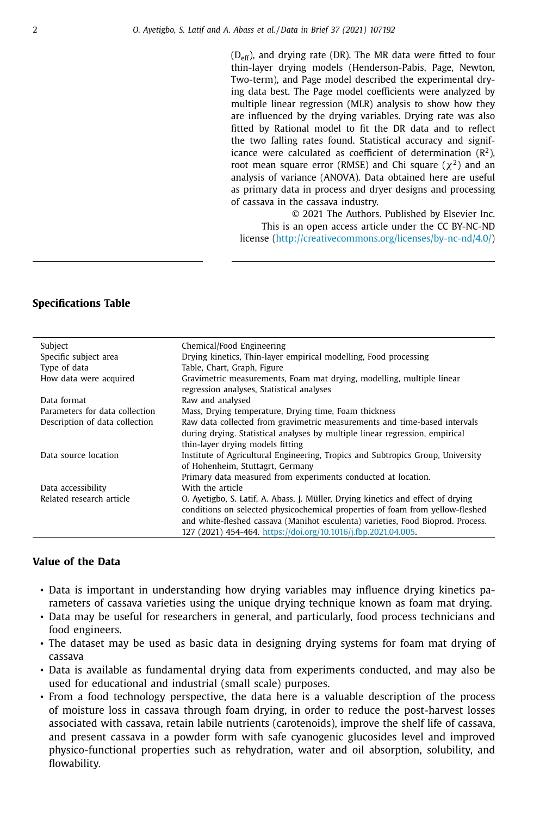$(D_{\text{eff}})$ , and drying rate (DR). The MR data were fitted to four thin-layer drying models (Henderson-Pabis, Page, Newton, Two-term), and Page model described the experimental drying data best. The Page model coefficients were analyzed by multiple linear regression (MLR) analysis to show how they are influenced by the drying variables. Drying rate was also fitted by Rational model to fit the DR data and to reflect the two falling rates found. Statistical accuracy and significance were calculated as coefficient of determination  $(R^2)$ , root mean square error (RMSE) and Chi square ( $\chi^2$ ) and an analysis of variance (ANOVA). Data obtained here are useful as primary data in process and dryer designs and processing of cassava in the cassava industry.

© 2021 The Authors. Published by Elsevier Inc. This is an open access article under the CC BY-NC-ND license [\(http://creativecommons.org/licenses/by-nc-nd/4.0/\)](http://creativecommons.org/licenses/by-nc-nd/4.0/)

## **Specifications Table**

| Subject                        | Chemical/Food Engineering                                                        |
|--------------------------------|----------------------------------------------------------------------------------|
| Specific subject area          | Drying kinetics, Thin-layer empirical modelling, Food processing                 |
| Type of data                   | Table, Chart, Graph, Figure                                                      |
| How data were acquired         | Gravimetric measurements, Foam mat drying, modelling, multiple linear            |
|                                | regression analyses, Statistical analyses                                        |
| Data format                    | Raw and analysed                                                                 |
| Parameters for data collection | Mass, Drying temperature, Drying time, Foam thickness                            |
| Description of data collection | Raw data collected from gravimetric measurements and time-based intervals        |
|                                | during drying. Statistical analyses by multiple linear regression, empirical     |
|                                | thin-layer drying models fitting                                                 |
| Data source location           | Institute of Agricultural Engineering, Tropics and Subtropics Group, University  |
|                                | of Hohenheim, Stuttagrt, Germany                                                 |
|                                | Primary data measured from experiments conducted at location.                    |
| Data accessibility             | With the article                                                                 |
| Related research article       | O. Ayetigbo, S. Latif, A. Abass, J. Müller, Drying kinetics and effect of drying |
|                                | conditions on selected physicochemical properties of foam from yellow-fleshed    |
|                                | and white-fleshed cassava (Manihot esculenta) varieties, Food Bioprod. Process.  |
|                                | 127 (2021) 454-464, https://doi.org/10.1016/j.fbp.2021.04.005.                   |

## **Value of the Data**

- Data is important in understanding how drying variables may influence drying kinetics parameters of cassava varieties using the unique drying technique known as foam mat drying.
- Data may be useful for researchers in general, and particularly, food process technicians and food engineers.
- The dataset may be used as basic data in designing drying systems for foam mat drying of cassava
- Data is available as fundamental drying data from experiments conducted, and may also be used for educational and industrial (small scale) purposes.
- From a food technology perspective, the data here is a valuable description of the process of moisture loss in cassava through foam drying, in order to reduce the post-harvest losses associated with cassava, retain labile nutrients (carotenoids), improve the shelf life of cassava, and present cassava in a powder form with safe cyanogenic glucosides level and improved physico-functional properties such as rehydration, water and oil absorption, solubility, and flowability.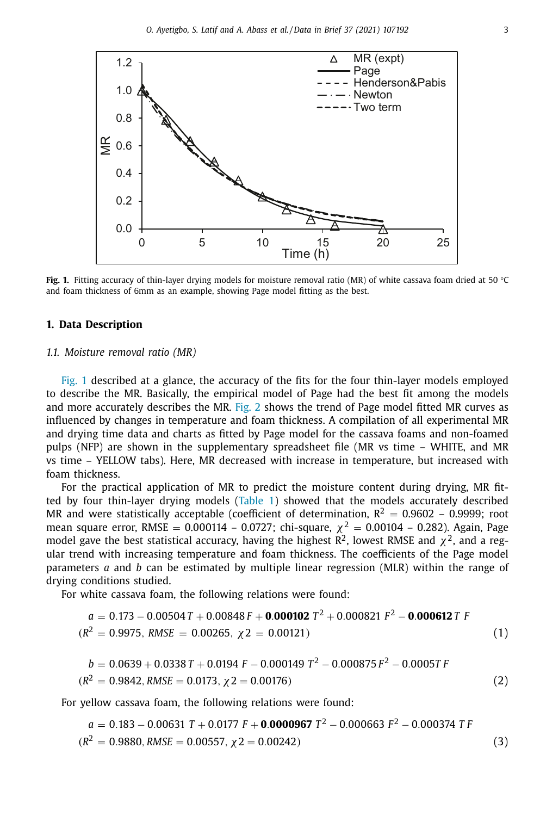

**Fig. 1.** Fitting accuracy of thin-layer drying models for moisture removal ratio (MR) of white cassava foam dried at 50 °C and foam thickness of 6mm as an example, showing Page model fitting as the best.

#### **1. Data Description**

#### *1.1. Moisture removal ratio (MR)*

Fig. 1 described at a glance, the accuracy of the fits for the four thin-layer models employed to describe the MR. Basically, the empirical model of Page had the best fit among the models and more accurately describes the MR. [Fig.](#page-3-0) 2 shows the trend of Page model fitted MR curves as influenced by changes in temperature and foam thickness. A compilation of all experimental MR and drying time data and charts as fitted by Page model for the cassava foams and non-foamed pulps (NFP) are shown in the supplementary spreadsheet file (MR vs time – WHITE, and MR vs time – YELLOW tabs). Here, MR decreased with increase in temperature, but increased with foam thickness.

For the practical application of MR to predict the moisture content during drying, MR fitted by four thin-layer drying models [\(Table](#page-4-0) 1) showed that the models accurately described MR and were statistically acceptable (coefficient of determination,  $R^2 = 0.9602 - 0.9999$ ; root mean square error, RMSE = 0.000114 – 0.0727; chi-square,  $\chi^2$  = 0.00104 – 0.282). Again, Page model gave the best statistical accuracy, having the highest  $\mathbb{R}^2$ , lowest RMSE and  $\chi^2$ , and a regular trend with increasing temperature and foam thickness. The coefficients of the Page model parameters *a* and *b* can be estimated by multiple linear regression (MLR) within the range of drying conditions studied.

For white cassava foam, the following relations were found:

$$
a = 0.173 - 0.00504T + 0.00848F + 0.000102 T2 + 0.000821 F2 - 0.000612 T F
$$
  
( $R2 = 0.9975$ , *RMSE* = 0.00265,  $\chi$ 2 = 0.00121) (1)

$$
b = 0.0639 + 0.0338 T + 0.0194 F - 0.000149 T2 - 0.000875 F2 - 0.0005T F
$$
  
( $R2 = 0.9842$ , *RMSE* = 0.0173,  $\chi$ 2 = 0.00176) (2)

For yellow cassava foam, the following relations were found:

$$
a = 0.183 - 0.00631 T + 0.0177 F + 0.0000967 T2 - 0.000663 F2 - 0.000374 T F
$$
  
( $R2 = 0.9880$ , *RMSE* = 0.00557,  $\chi$ 2 = 0.00242) (3)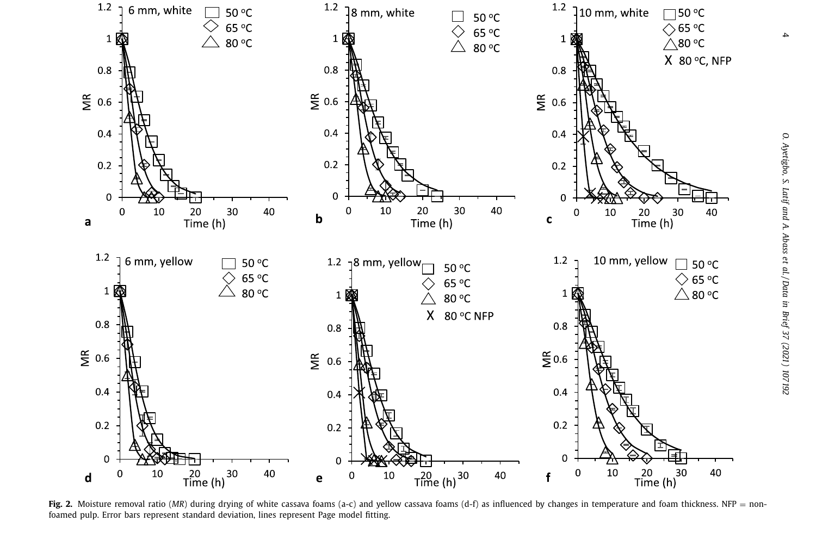<span id="page-3-0"></span>

Fig. 2. Moisture removal ratio (*MR*) during drying of white cassava foams (a-c) and yellow cassava foams (d-f) as influenced by changes in temperature and foam thickness. NFP = nonfoamed pulp. Error bars represent standard deviation, lines represent Page model fitting.

4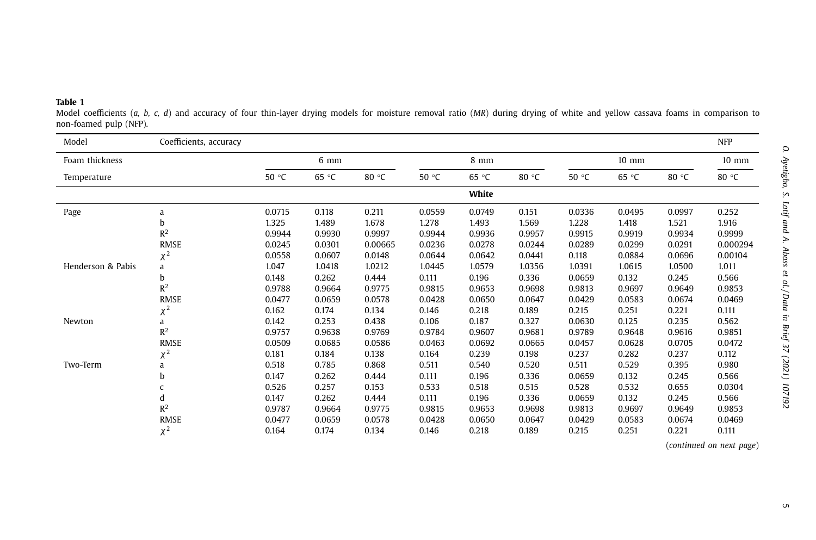#### <span id="page-4-0"></span>**Table 1**

 Model coefficients (*a, b, c, d*) and accuracy of four thin-layer drying models for moisture removal ratio (*MR*) during drying of white and yellow cassava foams in comparison to non-foamed pulp (NFP).

| Model             | Coefficients, accuracy |        |        |         |        |        |        |        |                 |        | <b>NFP</b>      |
|-------------------|------------------------|--------|--------|---------|--------|--------|--------|--------|-----------------|--------|-----------------|
| Foam thickness    |                        |        | 6 mm   |         |        | 8 mm   |        |        | $10 \text{ mm}$ |        | $10 \text{ mm}$ |
| Temperature       |                        | 50 °C  | 65 °C  | 80 °C   | 50 °C  | 65 °C  | 80 °C  | 50 °C  | 65 °C           | 80 °C  | 80 °C           |
|                   |                        |        |        |         |        | White  |        |        |                 |        |                 |
| Page              | a                      | 0.0715 | 0.118  | 0.211   | 0.0559 | 0.0749 | 0.151  | 0.0336 | 0.0495          | 0.0997 | 0.252           |
|                   | b                      | 1.325  | 1.489  | 1.678   | 1.278  | 1.493  | 1.569  | 1.228  | 1.418           | 1.521  | 1.916           |
|                   | $R^2$                  | 0.9944 | 0.9930 | 0.9997  | 0.9944 | 0.9936 | 0.9957 | 0.9915 | 0.9919          | 0.9934 | 0.9999          |
|                   | <b>RMSE</b>            | 0.0245 | 0.0301 | 0.00665 | 0.0236 | 0.0278 | 0.0244 | 0.0289 | 0.0299          | 0.0291 | 0.000294        |
|                   | $\chi^2$               | 0.0558 | 0.0607 | 0.0148  | 0.0644 | 0.0642 | 0.0441 | 0.118  | 0.0884          | 0.0696 | 0.00104         |
| Henderson & Pabis | a                      | 1.047  | 1.0418 | 1.0212  | 1.0445 | 1.0579 | 1.0356 | 1.0391 | 1.0615          | 1.0500 | 1.011           |
|                   | b                      | 0.148  | 0.262  | 0.444   | 0.111  | 0.196  | 0.336  | 0.0659 | 0.132           | 0.245  | 0.566           |
|                   | R <sup>2</sup>         | 0.9788 | 0.9664 | 0.9775  | 0.9815 | 0.9653 | 0.9698 | 0.9813 | 0.9697          | 0.9649 | 0.9853          |
|                   | <b>RMSE</b>            | 0.0477 | 0.0659 | 0.0578  | 0.0428 | 0.0650 | 0.0647 | 0.0429 | 0.0583          | 0.0674 | 0.0469          |
|                   | $\chi^2$               | 0.162  | 0.174  | 0.134   | 0.146  | 0.218  | 0.189  | 0.215  | 0.251           | 0.221  | 0.111           |
| Newton            | a                      | 0.142  | 0.253  | 0.438   | 0.106  | 0.187  | 0.327  | 0.0630 | 0.125           | 0.235  | 0.562           |
|                   | $R^2$                  | 0.9757 | 0.9638 | 0.9769  | 0.9784 | 0.9607 | 0.9681 | 0.9789 | 0.9648          | 0.9616 | 0.9851          |
|                   | <b>RMSE</b>            | 0.0509 | 0.0685 | 0.0586  | 0.0463 | 0.0692 | 0.0665 | 0.0457 | 0.0628          | 0.0705 | 0.0472          |
|                   | $\chi^2$               | 0.181  | 0.184  | 0.138   | 0.164  | 0.239  | 0.198  | 0.237  | 0.282           | 0.237  | 0.112           |
| Two-Term          | a                      | 0.518  | 0.785  | 0.868   | 0.511  | 0.540  | 0.520  | 0.511  | 0.529           | 0.395  | 0.980           |
|                   | b                      | 0.147  | 0.262  | 0.444   | 0.111  | 0.196  | 0.336  | 0.0659 | 0.132           | 0.245  | 0.566           |
|                   | C                      | 0.526  | 0.257  | 0.153   | 0.533  | 0.518  | 0.515  | 0.528  | 0.532           | 0.655  | 0.0304          |
|                   | d                      | 0.147  | 0.262  | 0.444   | 0.111  | 0.196  | 0.336  | 0.0659 | 0.132           | 0.245  | 0.566           |
|                   | R <sup>2</sup>         | 0.9787 | 0.9664 | 0.9775  | 0.9815 | 0.9653 | 0.9698 | 0.9813 | 0.9697          | 0.9649 | 0.9853          |
|                   | <b>RMSE</b>            | 0.0477 | 0.0659 | 0.0578  | 0.0428 | 0.0650 | 0.0647 | 0.0429 | 0.0583          | 0.0674 | 0.0469          |
|                   | $v^2$                  | 0.164  | 0.174  | 0.134   | 0.146  | 0.218  | 0.189  | 0.215  | 0.251           | 0.221  | 0.111           |

(*continued on next page*)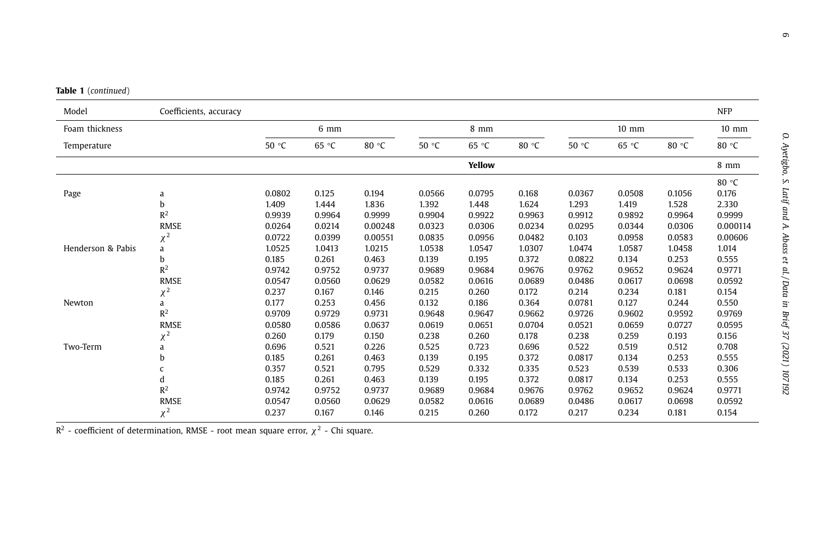|  |  | <b>Table 1</b> (continued) |  |
|--|--|----------------------------|--|
|--|--|----------------------------|--|

| Model             | Coefficients, accuracy |        |        |         |        |        |        |        |        |        | <b>NFP</b>      |
|-------------------|------------------------|--------|--------|---------|--------|--------|--------|--------|--------|--------|-----------------|
| Foam thickness    |                        |        | 6 mm   |         |        | 8 mm   |        |        | 10 mm  |        | $10 \text{ mm}$ |
| Temperature       |                        | 50 °C  | 65 °C  | 80 °C   | 50 °C  | 65 °C  | 80 °C  | 50 °C  | 65 °C  | 80 °C  | 80 °C           |
|                   |                        |        |        |         |        | Yellow |        |        |        |        | 8 mm            |
|                   |                        |        |        |         |        |        |        |        |        |        | 80 °C           |
| Page              | a                      | 0.0802 | 0.125  | 0.194   | 0.0566 | 0.0795 | 0.168  | 0.0367 | 0.0508 | 0.1056 | 0.176           |
|                   | b                      | 1.409  | 1.444  | 1.836   | 1.392  | 1.448  | 1.624  | 1.293  | 1.419  | 1.528  | 2.330           |
|                   | R <sup>2</sup>         | 0.9939 | 0.9964 | 0.9999  | 0.9904 | 0.9922 | 0.9963 | 0.9912 | 0.9892 | 0.9964 | 0.9999          |
|                   | <b>RMSE</b>            | 0.0264 | 0.0214 | 0.00248 | 0.0323 | 0.0306 | 0.0234 | 0.0295 | 0.0344 | 0.0306 | 0.000114        |
|                   | $\chi^2$               | 0.0722 | 0.0399 | 0.00551 | 0.0835 | 0.0956 | 0.0482 | 0.103  | 0.0958 | 0.0583 | 0.00606         |
| Henderson & Pabis | a                      | 1.0525 | 1.0413 | 1.0215  | 1.0538 | 1.0547 | 1.0307 | 1.0474 | 1.0587 | 1.0458 | 1.014           |
|                   | b                      | 0.185  | 0.261  | 0.463   | 0.139  | 0.195  | 0.372  | 0.0822 | 0.134  | 0.253  | 0.555           |
|                   | $R^2$                  | 0.9742 | 0.9752 | 0.9737  | 0.9689 | 0.9684 | 0.9676 | 0.9762 | 0.9652 | 0.9624 | 0.9771          |
|                   | <b>RMSE</b>            | 0.0547 | 0.0560 | 0.0629  | 0.0582 | 0.0616 | 0.0689 | 0.0486 | 0.0617 | 0.0698 | 0.0592          |
|                   | $\chi^2$               | 0.237  | 0.167  | 0.146   | 0.215  | 0.260  | 0.172  | 0.214  | 0.234  | 0.181  | 0.154           |
| Newton            | a                      | 0.177  | 0.253  | 0.456   | 0.132  | 0.186  | 0.364  | 0.0781 | 0.127  | 0.244  | 0.550           |
|                   | R <sup>2</sup>         | 0.9709 | 0.9729 | 0.9731  | 0.9648 | 0.9647 | 0.9662 | 0.9726 | 0.9602 | 0.9592 | 0.9769          |
|                   | <b>RMSE</b>            | 0.0580 | 0.0586 | 0.0637  | 0.0619 | 0.0651 | 0.0704 | 0.0521 | 0.0659 | 0.0727 | 0.0595          |
|                   | $\chi^2$               | 0.260  | 0.179  | 0.150   | 0.238  | 0.260  | 0.178  | 0.238  | 0.259  | 0.193  | 0.156           |
| Two-Term          | a                      | 0.696  | 0.521  | 0.226   | 0.525  | 0.723  | 0.696  | 0.522  | 0.519  | 0.512  | 0.708           |
|                   | h                      | 0.185  | 0.261  | 0.463   | 0.139  | 0.195  | 0.372  | 0.0817 | 0.134  | 0.253  | 0.555           |
|                   | C                      | 0.357  | 0.521  | 0.795   | 0.529  | 0.332  | 0.335  | 0.523  | 0.539  | 0.533  | 0.306           |
|                   | d                      | 0.185  | 0.261  | 0.463   | 0.139  | 0.195  | 0.372  | 0.0817 | 0.134  | 0.253  | 0.555           |
|                   | R <sup>2</sup>         | 0.9742 | 0.9752 | 0.9737  | 0.9689 | 0.9684 | 0.9676 | 0.9762 | 0.9652 | 0.9624 | 0.9771          |
|                   | <b>RMSE</b>            | 0.0547 | 0.0560 | 0.0629  | 0.0582 | 0.0616 | 0.0689 | 0.0486 | 0.0617 | 0.0698 | 0.0592          |
|                   | $\chi^2$               | 0.237  | 0.167  | 0.146   | 0.215  | 0.260  | 0.172  | 0.217  | 0.234  | 0.181  | 0.154           |

 $R^2$  - coefficient of determination, RMSE - root mean square error,  $\chi^2$  - Chi square.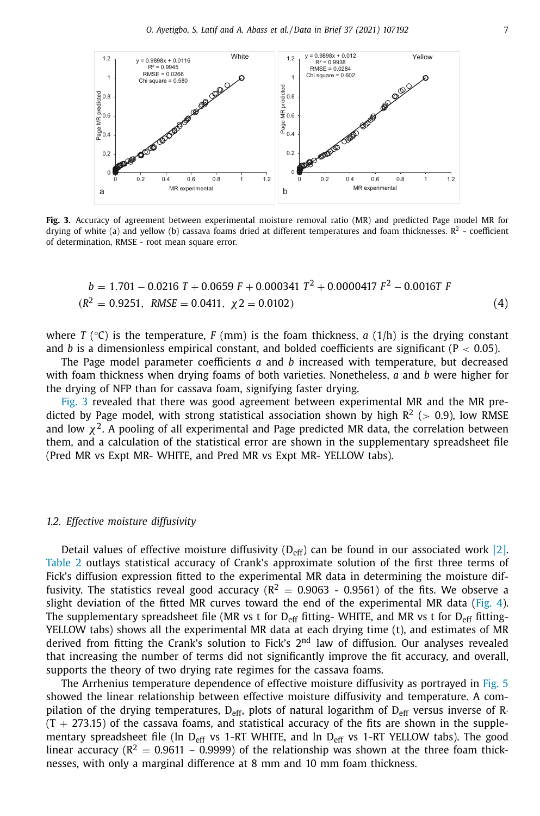

**Fig. 3.** Accuracy of agreement between experimental moisture removal ratio (MR) and predicted Page model MR for drying of white (a) and yellow (b) cassava foams dried at different temperatures and foam thicknesses.  $R^2$  - coefficient of determination, RMSE - root mean square error.

$$
b = 1.701 - 0.0216 \text{ T} + 0.0659 \text{ F} + 0.000341 \text{ T}^2 + 0.0000417 \text{ F}^2 - 0.0016 \text{ T} \text{ F}
$$
  
( $R^2 = 0.9251$ , *RMSE* = 0.0411,  $\chi$ 2 = 0.0102) (4)

where *T* ( $\degree$ C) is the temperature, *F* (mm) is the foam thickness, *a* (1/h) is the drying constant and *b* is a dimensionless empirical constant, and bolded coefficients are significant ( $P < 0.05$ ).

The Page model parameter coefficients *a* and *b* increased with temperature, but decreased with foam thickness when drying foams of both varieties. Nonetheless, *a* and *b* were higher for the drying of NFP than for cassava foam, signifying faster drying.

Fig. 3 revealed that there was good agreement between experimental MR and the MR predicted by Page model, with strong statistical association shown by high  $R^2$  ( $> 0.9$ ), low RMSE and low  $\chi^2$ . A pooling of all experimental and Page predicted MR data, the correlation between them, and a calculation of the statistical error are shown in the supplementary spreadsheet file (Pred MR vs Expt MR- WHITE, and Pred MR vs Expt MR- YELLOW tabs).

#### *1.2. Effective moisture diffusivity*

Detail values of effective moisture diffusivity ( $D_{\text{eff}}$ ) can be found in our associated work [\[2\].](#page-12-0) [Table](#page-7-0) 2 outlays statistical accuracy of Crank's approximate solution of the first three terms of Fick's diffusion expression fitted to the experimental MR data in determining the moisture diffusivity. The statistics reveal good accuracy ( $R^2 = 0.9063 - 0.9561$ ) of the fits. We observe a slight deviation of the fitted MR curves toward the end of the experimental MR data [\(Fig.](#page-8-0) 4). The supplementary spreadsheet file (MR vs t for  $D_{eff}$  fitting- WHITE, and MR vs t for  $D_{eff}$  fitting-YELLOW tabs) shows all the experimental MR data at each drying time (t), and estimates of MR derived from fitting the Crank's solution to Fick's  $2<sup>nd</sup>$  law of diffusion. Our analyses revealed that increasing the number of terms did not significantly improve the fit accuracy, and overall, supports the theory of two drying rate regimes for the cassava foams.

The Arrhenius temperature dependence of effective moisture diffusivity as portrayed in [Fig.](#page-9-0) 5 showed the linear relationship between effective moisture diffusivity and temperature. A compilation of the drying temperatures,  $D_{\text{eff}}$ , plots of natural logarithm of  $D_{\text{eff}}$  versus inverse of R $\cdot$  $(T + 273.15)$  of the cassava foams, and statistical accuracy of the fits are shown in the supplementary spreadsheet file (ln D<sub>eff</sub> vs 1-RT WHITE, and ln D<sub>eff</sub> vs 1-RT YELLOW tabs). The good linear accuracy ( $R^2 = 0.9611 - 0.9999$ ) of the relationship was shown at the three foam thicknesses, with only a marginal difference at 8 mm and 10 mm foam thickness.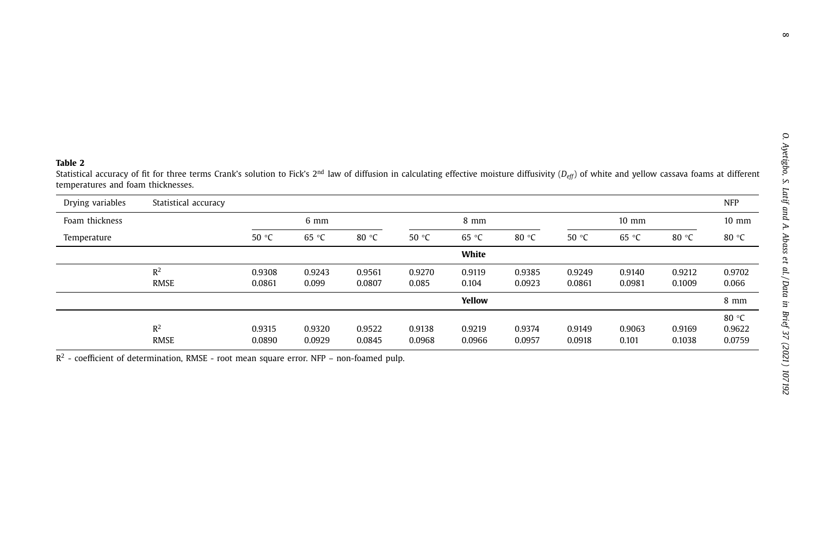#### <span id="page-7-0"></span>**Table 2**

Statistical accuracy of fit for three terms Crank's solution to Fick's 2<sup>nd</sup> law of diffusion in calculating effective moisture diffusivity (*D<sub>eff</sub>*) of white and yellow cassava foams at different temperatures and foam thicknesses.

| Drying variables | Statistical accuracy |                  |                  |                  |                  |                  |                  |                  |                  |                  | <b>NFP</b>                |
|------------------|----------------------|------------------|------------------|------------------|------------------|------------------|------------------|------------------|------------------|------------------|---------------------------|
| Foam thickness   |                      |                  | $6 \text{ mm}$   |                  |                  | $8 \text{ mm}$   |                  |                  | $10 \text{ mm}$  |                  | $10 \text{ mm}$           |
| Temperature      |                      | 50 °C            | 65 °C            | 80 $\degree$ C   | 50 $°C$          | 65 °C            | 80 $\degree$ C   | 50 °C            | 65 °C            | 80 $\degree$ C   | 80 $\degree$ C            |
|                  |                      |                  |                  |                  |                  | White            |                  |                  |                  |                  |                           |
|                  | $R^2$<br>RMSE        | 0.9308<br>0.0861 | 0.9243<br>0.099  | 0.9561<br>0.0807 | 0.9270<br>0.085  | 0.9119<br>0.104  | 0.9385<br>0.0923 | 0.9249<br>0.0861 | 0.9140<br>0.0981 | 0.9212<br>0.1009 | 0.9702<br>0.066           |
|                  |                      |                  |                  |                  |                  | Yellow           |                  |                  |                  |                  | $8 \text{ mm}$            |
|                  | $R^2$<br>RMSE        | 0.9315<br>0.0890 | 0.9320<br>0.0929 | 0.9522<br>0.0845 | 0.9138<br>0.0968 | 0.9219<br>0.0966 | 0.9374<br>0.0957 | 0.9149<br>0.0918 | 0.9063<br>0.101  | 0.9169<br>0.1038 | 80 °C<br>0.9622<br>0.0759 |

 $R<sup>2</sup>$  - coefficient of determination, RMSE - root mean square error. NFP – non-foamed pulp.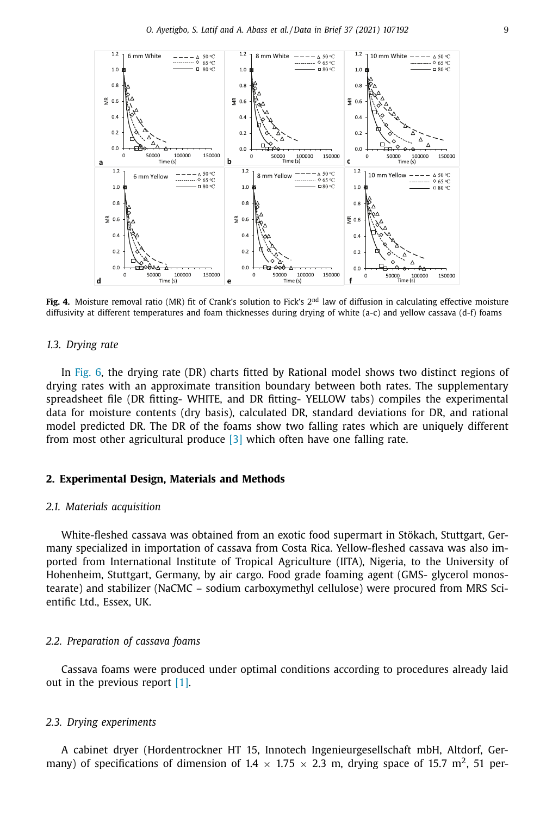<span id="page-8-0"></span>

**Fig. 4.** Moisture removal ratio (MR) fit of Crank's solution to Fick's 2<sup>nd</sup> law of diffusion in calculating effective moisture diffusivity at different temperatures and foam thicknesses during drying of white (a-c) and yellow cassava (d-f) foams

#### *1.3. Drying rate*

In [Fig.](#page-10-0) 6, the drying rate (DR) charts fitted by Rational model shows two distinct regions of drying rates with an approximate transition boundary between both rates. The supplementary spreadsheet file (DR fitting- WHITE, and DR fitting- YELLOW tabs) compiles the experimental data for moisture contents (dry basis), calculated DR, standard deviations for DR, and rational model predicted DR. The DR of the foams show two falling rates which are uniquely different from most other agricultural produce [\[3\]](#page-12-0) which often have one falling rate.

## **2. Experimental Design, Materials and Methods**

## *2.1. Materials acquisition*

White-fleshed cassava was obtained from an exotic food supermart in Stökach, Stuttgart, Germany specialized in importation of cassava from Costa Rica. Yellow-fleshed cassava was also imported from International Institute of Tropical Agriculture (IITA), Nigeria, to the University of Hohenheim, Stuttgart, Germany, by air cargo. Food grade foaming agent (GMS- glycerol monostearate) and stabilizer (NaCMC – sodium carboxymethyl cellulose) were procured from MRS Scientific Ltd., Essex, UK.

## *2.2. Preparation of cassava foams*

Cassava foams were produced under optimal conditions according to procedures already laid out in the previous report [\[1\].](#page-12-0)

#### *2.3. Drying experiments*

A cabinet dryer (Hordentrockner HT 15, Innotech Ingenieurgesellschaft mbH, Altdorf, Germany) of specifications of dimension of 1.4  $\times$  1.75  $\times$  2.3 m, drying space of 15.7 m<sup>2</sup>, 51 per-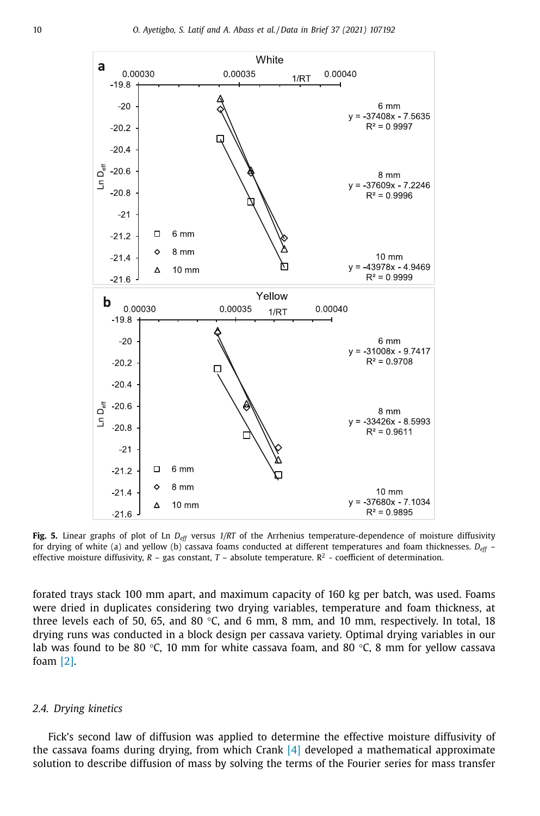<span id="page-9-0"></span>

**Fig. 5.** Linear graphs of plot of Ln *Deff* versus *1/RT* of the Arrhenius temperature-dependence of moisture diffusivity for drying of white (a) and yellow (b) cassava foams conducted at different temperatures and foam thicknesses. *Deff* – effective moisture diffusivity,  $R - gas$  constant,  $T - absolute$  temperature.  $R^2 - coefficients$  coefficient of determination.

forated trays stack 100 mm apart, and maximum capacity of 160 kg per batch, was used. Foams were dried in duplicates considering two drying variables, temperature and foam thickness, at three levels each of 50, 65, and 80  $\degree$ C, and 6 mm, 8 mm, and 10 mm, respectively. In total, 18 drying runs was conducted in a block design per cassava variety. Optimal drying variables in our lab was found to be 80 °C, 10 mm for white cassava foam, and 80 °C, 8 mm for yellow cassava foam [\[2\].](#page-12-0)

#### *2.4. Drying kinetics*

Fick's second law of diffusion was applied to determine the effective moisture diffusivity of the cassava foams during drying, from which Crank [\[4\]](#page-12-0) developed a mathematical approximate solution to describe diffusion of mass by solving the terms of the Fourier series for mass transfer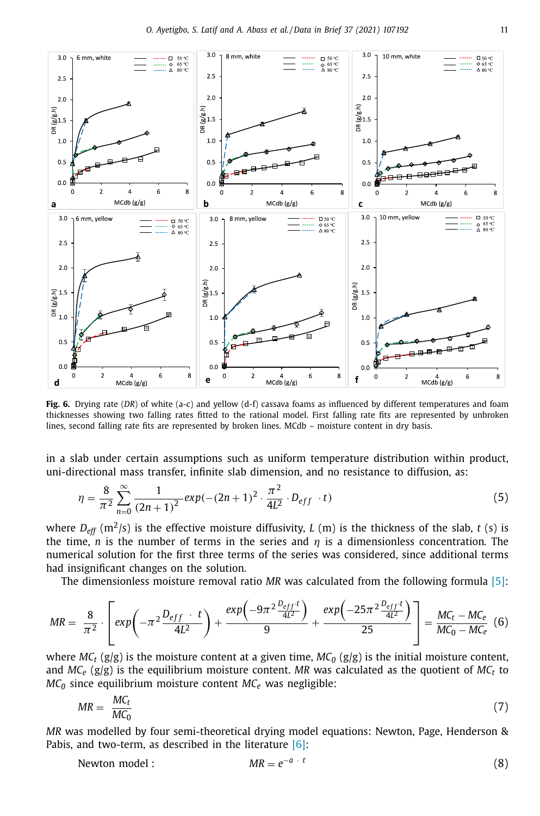<span id="page-10-0"></span>

**Fig. 6.** Drying rate (*DR*) of white (a-c) and yellow (d-f) cassava foams as influenced by different temperatures and foam thicknesses showing two falling rates fitted to the rational model. First falling rate fits are represented by unbroken lines, second falling rate fits are represented by broken lines. MCdb – moisture content in dry basis.

in a slab under certain assumptions such as uniform temperature distribution within product, uni-directional mass transfer, infinite slab dimension, and no resistance to diffusion, as:

$$
\eta = \frac{8}{\pi^2} \sum_{n=0}^{\infty} \frac{1}{(2n+1)^2} \exp(-(2n+1)^2 \cdot \frac{\pi^2}{4L^2} \cdot D_{eff} \cdot t)
$$
(5)

where  $D_{\text{eff}}$  (m<sup>2</sup>/s) is the effective moisture diffusivity, *L* (m) is the thickness of the slab, *t* (s) is the time, *n* is the number of terms in the series and  $\eta$  is a dimensionless concentration. The numerical solution for the first three terms of the series was considered, since additional terms had insignificant changes on the solution.

The dimensionless moisture removal ratio *MR* was calculated from the following formula [\[5\]:](#page-12-0)

$$
MR = \frac{8}{\pi^2} \cdot \left[ exp\left(-\pi^2 \frac{D_{eff} \cdot t}{4L^2}\right) + \frac{exp\left(-9\pi^2 \frac{D_{eff} t}{4L^2}\right)}{9} + \frac{exp\left(-25\pi^2 \frac{D_{eff} t}{4L^2}\right)}{25} \right] = \frac{MC_t - MC_e}{MC_0 - MC_e} \tag{6}
$$

where  $MC_t$  (g/g) is the moisture content at a given time,  $MC_0$  (g/g) is the initial moisture content, and  $MC_e$  ( $g/g$ ) is the equilibrium moisture content. MR was calculated as the quotient of  $MC_t$  to  $MC<sub>0</sub>$  since equilibrium moisture content  $MC<sub>e</sub>$  was negligible:

$$
MR = \frac{MC_t}{MC_0} \tag{7}
$$

*MR* was modelled by four semi-theoretical drying model equations: Newton, Page, Henderson & Pabis, and two-term, as described in the literature  $[6]$ :

Newton model : 
$$
MR = e^{-a \cdot t}
$$
 (8)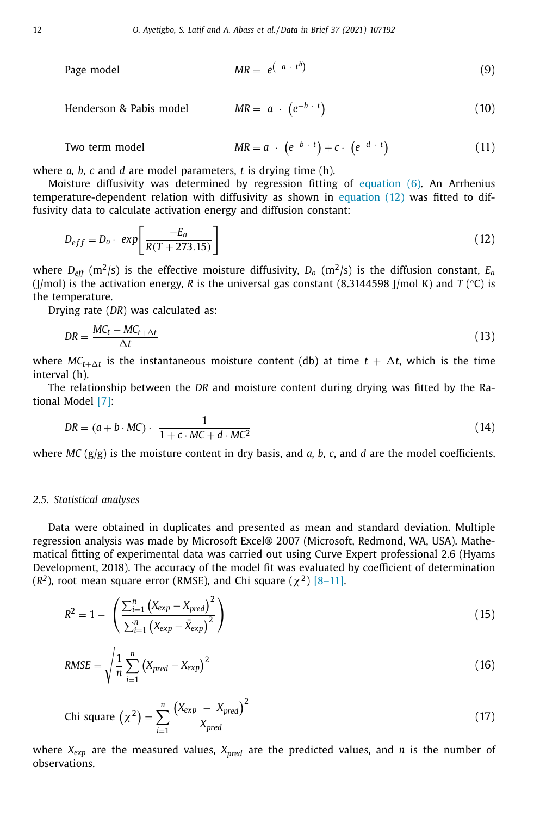Page model 
$$
MR = e^{(-a + t^b)}
$$
 (9)

Henderson & Pabis model 
$$
MR = a \cdot (e^{-b} \cdot t)
$$
 (10)

Two term model 
$$
MR = a \cdot (e^{-b} \cdot t) + c \cdot (e^{-d} \cdot t)
$$
 (11)

where *a, b, c* and *d* are model parameters, *t* is drying time (h).

Moisture diffusivity was determined by regression fitting of [equation](#page-10-0) (6). An Arrhenius temperature-dependent relation with diffusivity as shown in equation (12) was fitted to diffusivity data to calculate activation energy and diffusion constant:

$$
D_{eff} = D_o \cdot exp\left[\frac{-E_a}{R(T + 273.15)}\right]
$$
\n(12)

where  $D_{\text{eff}}$  (m<sup>2</sup>/s) is the effective moisture diffusivity,  $D_o$  (m<sup>2</sup>/s) is the diffusion constant,  $E_a$ (J/mol) is the activation energy, *R* is the universal gas constant (8.3144598 J/mol K) and *T* ( $\degree$ C) is the temperature.

Drying rate (*DR*) was calculated as:

$$
DR = \frac{MC_t - MC_{t + \Delta t}}{\Delta t}
$$
\n(13)

where  $MC_{t+\Delta t}$  is the instantaneous moisture content (db) at time  $t + \Delta t$ , which is the time interval (h).

The relationship between the *DR* and moisture content during drying was fitted by the Rational Model [\[7\]:](#page-13-0)

$$
DR = (a + b \cdot MC) \cdot \frac{1}{1 + c \cdot MC + d \cdot MC^2}
$$
 (14)

where *MC* (g/g) is the moisture content in dry basis, and *a, b, c*, and *d* are the model coefficients.

## *2.5. Statistical analyses*

Data were obtained in duplicates and presented as mean and standard deviation. Multiple regression analysis was made by Microsoft Excel® 2007 (Microsoft, Redmond, WA, USA). Mathematical fitting of experimental data was carried out using Curve Expert professional 2.6 (Hyams Development, 2018). The accuracy of the model fit was evaluated by coefficient of determination  $(R^2)$ , root mean square error (RMSE), and Chi square  $(\chi^2)$  [\[8–11\].](#page-13-0)

$$
R^{2} = 1 - \left(\frac{\sum_{i=1}^{n} (X_{exp} - X_{pred})^{2}}{\sum_{i=1}^{n} (X_{exp} - \bar{X}_{exp})^{2}}\right)
$$
(15)

$$
RMSE = \sqrt{\frac{1}{n} \sum_{i=1}^{n} (X_{pred} - X_{exp})^2}
$$
(16)

$$
Chi square (\chi^2) = \sum_{i=1}^{n} \frac{(X_{exp} - X_{pred})^2}{X_{pred}}
$$
\n(17)

where *Xexp* are the measured values, *Xpred* are the predicted values, and *n* is the number of observations.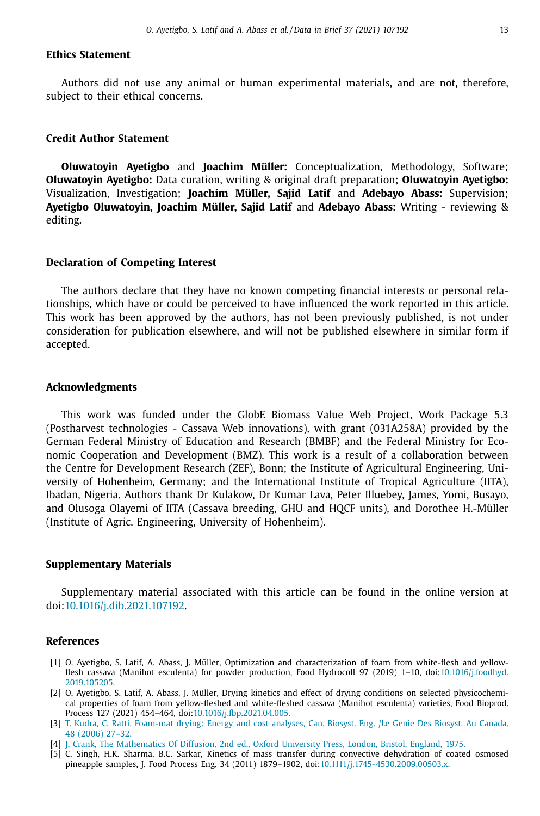## <span id="page-12-0"></span>**Ethics Statement**

Authors did not use any animal or human experimental materials, and are not, therefore, subject to their ethical concerns.

#### **Credit Author Statement**

**Oluwatoyin Ayetigbo** and **Joachim Müller:** Conceptualization, Methodology, Software; **Oluwatoyin Ayetigbo:** Data curation, writing & original draft preparation; **Oluwatoyin Ayetigbo:** Visualization, Investigation; **Joachim Müller, Sajid Latif** and **Adebayo Abass:** Supervision; **Ayetigbo Oluwatoyin, Joachim Müller, Sajid Latif** and **Adebayo Abass:** Writing - reviewing & editing.

## **Declaration of Competing Interest**

The authors declare that they have no known competing financial interests or personal relationships, which have or could be perceived to have influenced the work reported in this article. This work has been approved by the authors, has not been previously published, is not under consideration for publication elsewhere, and will not be published elsewhere in similar form if accepted.

## **Acknowledgments**

This work was funded under the GlobE Biomass Value Web Project, Work Package 5.3 (Postharvest technologies - Cassava Web innovations), with grant (031A258A) provided by the German Federal Ministry of Education and Research (BMBF) and the Federal Ministry for Economic Cooperation and Development (BMZ). This work is a result of a collaboration between the Centre for Development Research (ZEF), Bonn; the Institute of Agricultural Engineering, University of Hohenheim, Germany; and the International Institute of Tropical Agriculture (IITA), Ibadan, Nigeria. Authors thank Dr Kulakow, Dr Kumar Lava, Peter Illuebey, James, Yomi, Busayo, and Olusoga Olayemi of IITA (Cassava breeding, GHU and HQCF units), and Dorothee H.-Müller (Institute of Agric. Engineering, University of Hohenheim).

#### **Supplementary Materials**

Supplementary material associated with this article can be found in the online version at doi[:10.1016/j.dib.2021.107192.](https://doi.org/10.1016/j.dib.2021.107192)

#### **References**

- [1] O. Ayetigbo, S. Latif, A. Abass, J. Müller, Optimization and characterization of foam from white-flesh and yellowflesh cassava (Manihot esculenta) for powder production, Food Hydrocoll 97 (2019) 1–10, [doi:10.1016/j.foodhyd.](https://doi.org/10.1016/j.foodhyd.2019.105205) 2019.105205.
- [2] O. Ayetigbo, S. Latif, A. Abass, J. Müller, Drying kinetics and effect of drying conditions on selected physicochemical properties of foam from yellow-fleshed and white-fleshed cassava (Manihot esculenta) varieties, Food Bioprod. Process 127 (2021) 454–464, doi[:10.1016/j.fbp.2021.04.005.](https://doi.org/10.1016/j.fbp.2021.04.005)
- [3] T. [Kudra,](http://refhub.elsevier.com/S2352-3409(21)00476-5/sbref0003) C. [Ratti,](http://refhub.elsevier.com/S2352-3409(21)00476-5/sbref0003) [Foam-mat](http://refhub.elsevier.com/S2352-3409(21)00476-5/sbref0003) drying: Energy and cost analyses, Can. Biosyst. Eng. /Le Genie Des Biosyst. Au Canada. 48 (2006) 27–32.
- [4] J. [Crank,](http://refhub.elsevier.com/S2352-3409(21)00476-5/sbref0004) The [Mathematics](http://refhub.elsevier.com/S2352-3409(21)00476-5/sbref0004) Of Diffusion, 2nd ed., Oxford University Press, London, Bristol, England, 1975.
- [5] C. Singh, H.K. Sharma, B.C. Sarkar, Kinetics of mass transfer during convective dehydration of coated osmosed pineapple samples, J. Food Process Eng. 34 (2011) 1879–1902, doi[:10.1111/j.1745-4530.2009.00503.x.](https://doi.org/10.1111/j.1745-4530.2009.00503.x)